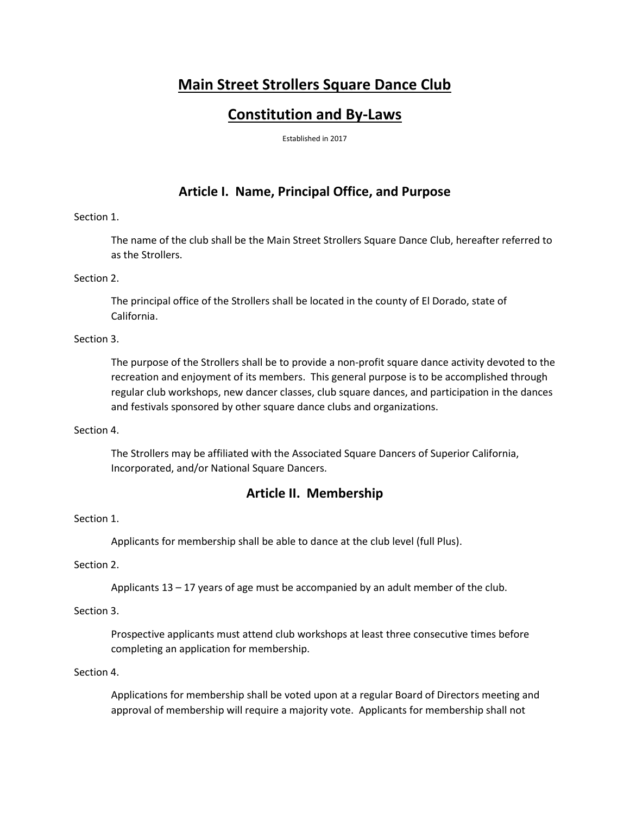# **Main Street Strollers Square Dance Club**

# **Constitution and By-Laws**

Established in 2017

# **Article I. Name, Principal Office, and Purpose**

# Section 1.

The name of the club shall be the Main Street Strollers Square Dance Club, hereafter referred to as the Strollers.

## Section 2.

The principal office of the Strollers shall be located in the county of El Dorado, state of California.

## Section 3.

The purpose of the Strollers shall be to provide a non-profit square dance activity devoted to the recreation and enjoyment of its members. This general purpose is to be accomplished through regular club workshops, new dancer classes, club square dances, and participation in the dances and festivals sponsored by other square dance clubs and organizations.

## Section 4.

The Strollers may be affiliated with the Associated Square Dancers of Superior California, Incorporated, and/or National Square Dancers.

# **Article II. Membership**

# Section 1.

Applicants for membership shall be able to dance at the club level (full Plus).

## Section 2.

Applicants  $13 - 17$  years of age must be accompanied by an adult member of the club.

## Section 3.

Prospective applicants must attend club workshops at least three consecutive times before completing an application for membership.

# Section 4.

Applications for membership shall be voted upon at a regular Board of Directors meeting and approval of membership will require a majority vote. Applicants for membership shall not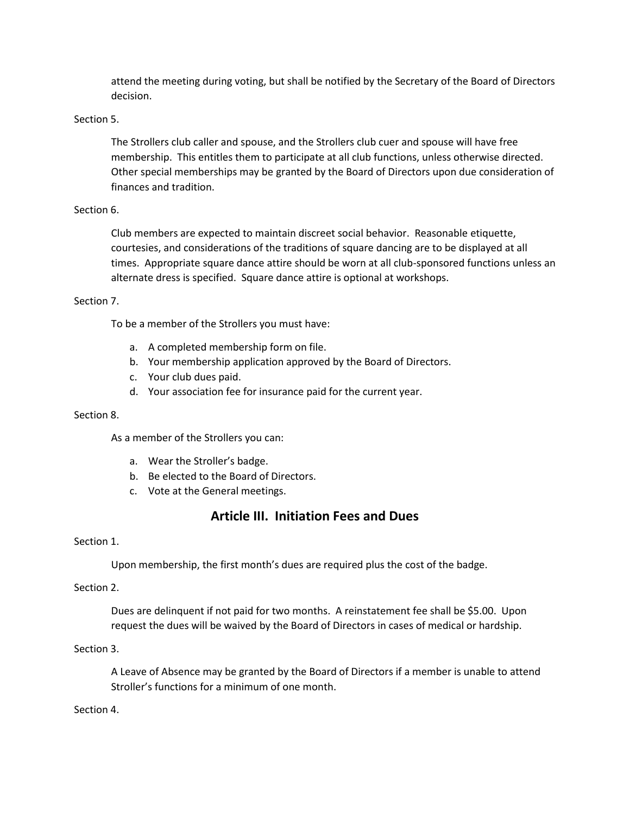attend the meeting during voting, but shall be notified by the Secretary of the Board of Directors decision.

### Section 5.

The Strollers club caller and spouse, and the Strollers club cuer and spouse will have free membership. This entitles them to participate at all club functions, unless otherwise directed. Other special memberships may be granted by the Board of Directors upon due consideration of finances and tradition.

## Section 6.

Club members are expected to maintain discreet social behavior. Reasonable etiquette, courtesies, and considerations of the traditions of square dancing are to be displayed at all times. Appropriate square dance attire should be worn at all club-sponsored functions unless an alternate dress is specified. Square dance attire is optional at workshops.

#### Section 7.

To be a member of the Strollers you must have:

- a. A completed membership form on file.
- b. Your membership application approved by the Board of Directors.
- c. Your club dues paid.
- d. Your association fee for insurance paid for the current year.

#### Section 8.

As a member of the Strollers you can:

- a. Wear the Stroller's badge.
- b. Be elected to the Board of Directors.
- c. Vote at the General meetings.

# **Article III. Initiation Fees and Dues**

#### Section 1.

Upon membership, the first month's dues are required plus the cost of the badge.

## Section 2.

Dues are delinquent if not paid for two months. A reinstatement fee shall be \$5.00. Upon request the dues will be waived by the Board of Directors in cases of medical or hardship.

#### Section 3.

A Leave of Absence may be granted by the Board of Directors if a member is unable to attend Stroller's functions for a minimum of one month.

#### Section 4.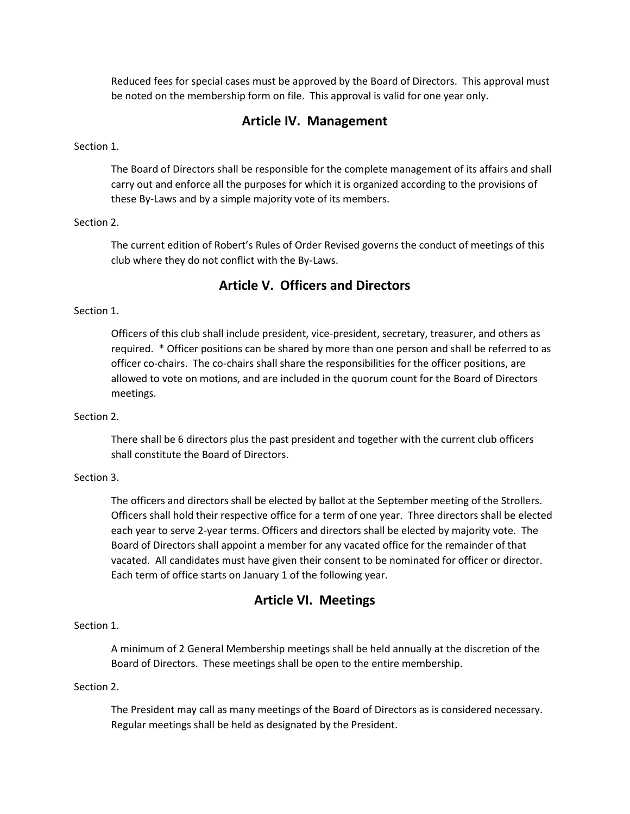Reduced fees for special cases must be approved by the Board of Directors. This approval must be noted on the membership form on file. This approval is valid for one year only.

# **Article IV. Management**

#### Section 1.

The Board of Directors shall be responsible for the complete management of its affairs and shall carry out and enforce all the purposes for which it is organized according to the provisions of these By-Laws and by a simple majority vote of its members.

#### Section 2.

The current edition of Robert's Rules of Order Revised governs the conduct of meetings of this club where they do not conflict with the By-Laws.

# **Article V. Officers and Directors**

# Section 1.

Officers of this club shall include president, vice-president, secretary, treasurer, and others as required. \* Officer positions can be shared by more than one person and shall be referred to as officer co-chairs. The co-chairs shall share the responsibilities for the officer positions, are allowed to vote on motions, and are included in the quorum count for the Board of Directors meetings.

#### Section 2.

There shall be 6 directors plus the past president and together with the current club officers shall constitute the Board of Directors.

#### Section 3.

The officers and directors shall be elected by ballot at the September meeting of the Strollers. Officers shall hold their respective office for a term of one year. Three directors shall be elected each year to serve 2-year terms. Officers and directors shall be elected by majority vote. The Board of Directors shall appoint a member for any vacated office for the remainder of that vacated. All candidates must have given their consent to be nominated for officer or director. Each term of office starts on January 1 of the following year.

# **Article VI. Meetings**

#### Section 1.

A minimum of 2 General Membership meetings shall be held annually at the discretion of the Board of Directors. These meetings shall be open to the entire membership.

#### Section 2.

The President may call as many meetings of the Board of Directors as is considered necessary. Regular meetings shall be held as designated by the President.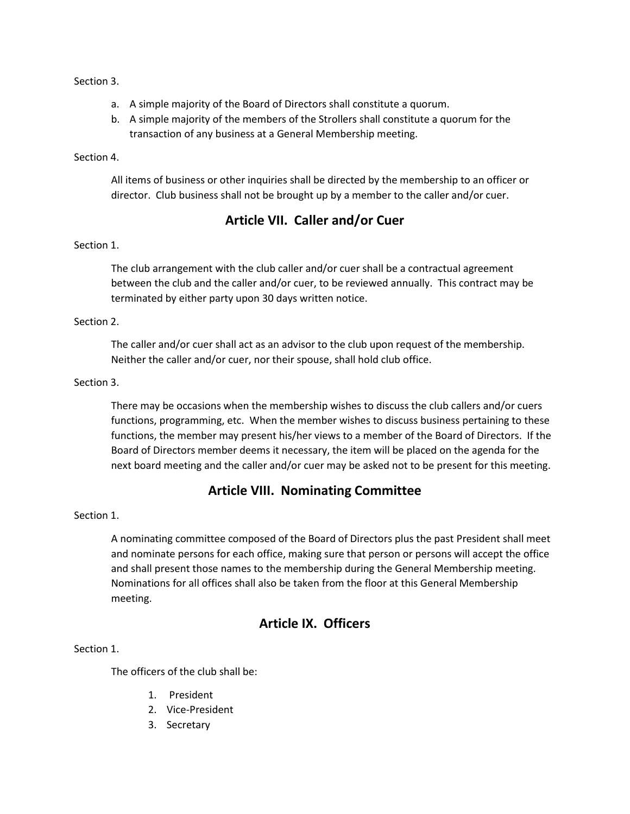## Section 3.

- a. A simple majority of the Board of Directors shall constitute a quorum.
- b. A simple majority of the members of the Strollers shall constitute a quorum for the transaction of any business at a General Membership meeting.

## Section 4.

All items of business or other inquiries shall be directed by the membership to an officer or director. Club business shall not be brought up by a member to the caller and/or cuer.

# **Article VII. Caller and/or Cuer**

# Section 1.

The club arrangement with the club caller and/or cuer shall be a contractual agreement between the club and the caller and/or cuer, to be reviewed annually. This contract may be terminated by either party upon 30 days written notice.

## Section 2.

The caller and/or cuer shall act as an advisor to the club upon request of the membership. Neither the caller and/or cuer, nor their spouse, shall hold club office.

## Section 3.

There may be occasions when the membership wishes to discuss the club callers and/or cuers functions, programming, etc. When the member wishes to discuss business pertaining to these functions, the member may present his/her views to a member of the Board of Directors. If the Board of Directors member deems it necessary, the item will be placed on the agenda for the next board meeting and the caller and/or cuer may be asked not to be present for this meeting.

# **Article VIII. Nominating Committee**

## Section 1.

A nominating committee composed of the Board of Directors plus the past President shall meet and nominate persons for each office, making sure that person or persons will accept the office and shall present those names to the membership during the General Membership meeting. Nominations for all offices shall also be taken from the floor at this General Membership meeting.

# **Article IX. Officers**

## Section 1.

The officers of the club shall be:

- 1. President
- 2. Vice-President
- 3. Secretary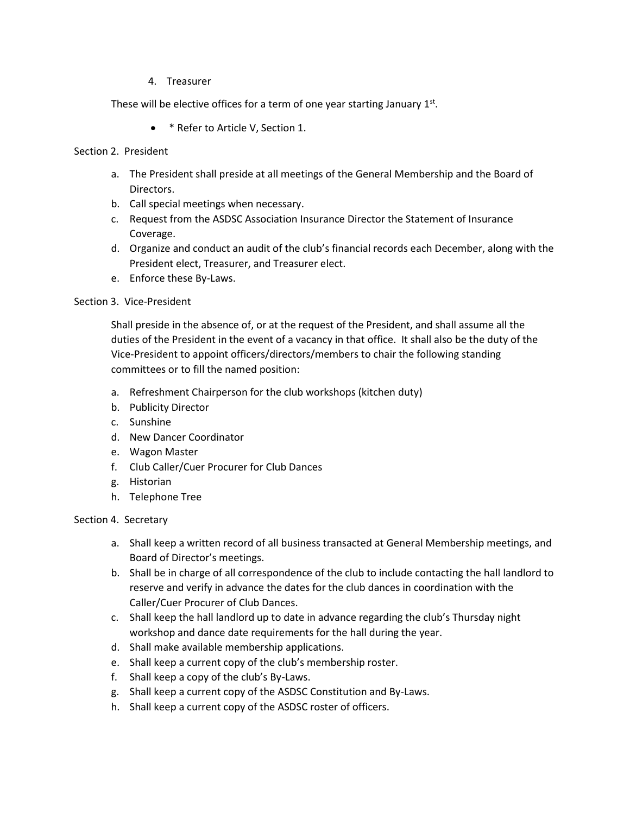4. Treasurer

These will be elective offices for a term of one year starting January  $1<sup>st</sup>$ .

- \* Refer to Article V, Section 1.
- Section 2. President
	- a. The President shall preside at all meetings of the General Membership and the Board of Directors.
	- b. Call special meetings when necessary.
	- c. Request from the ASDSC Association Insurance Director the Statement of Insurance Coverage.
	- d. Organize and conduct an audit of the club's financial records each December, along with the President elect, Treasurer, and Treasurer elect.
	- e. Enforce these By-Laws.

#### Section 3. Vice-President

Shall preside in the absence of, or at the request of the President, and shall assume all the duties of the President in the event of a vacancy in that office. It shall also be the duty of the Vice-President to appoint officers/directors/members to chair the following standing committees or to fill the named position:

- a. Refreshment Chairperson for the club workshops (kitchen duty)
- b. Publicity Director
- c. Sunshine
- d. New Dancer Coordinator
- e. Wagon Master
- f. Club Caller/Cuer Procurer for Club Dances
- g. Historian
- h. Telephone Tree

#### Section 4. Secretary

- a. Shall keep a written record of all business transacted at General Membership meetings, and Board of Director's meetings.
- b. Shall be in charge of all correspondence of the club to include contacting the hall landlord to reserve and verify in advance the dates for the club dances in coordination with the Caller/Cuer Procurer of Club Dances.
- c. Shall keep the hall landlord up to date in advance regarding the club's Thursday night workshop and dance date requirements for the hall during the year.
- d. Shall make available membership applications.
- e. Shall keep a current copy of the club's membership roster.
- f. Shall keep a copy of the club's By-Laws.
- g. Shall keep a current copy of the ASDSC Constitution and By-Laws.
- h. Shall keep a current copy of the ASDSC roster of officers.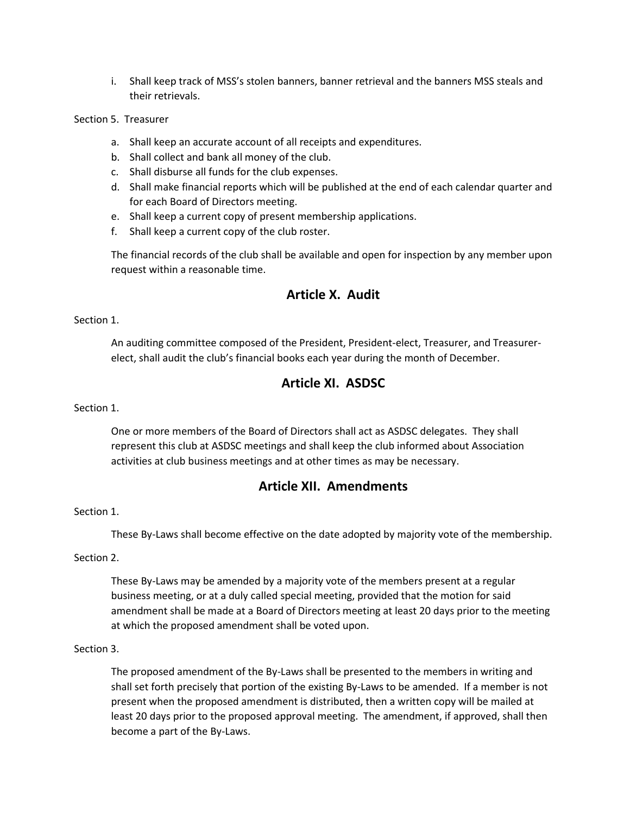i. Shall keep track of MSS's stolen banners, banner retrieval and the banners MSS steals and their retrievals.

Section 5. Treasurer

- a. Shall keep an accurate account of all receipts and expenditures.
- b. Shall collect and bank all money of the club.
- c. Shall disburse all funds for the club expenses.
- d. Shall make financial reports which will be published at the end of each calendar quarter and for each Board of Directors meeting.
- e. Shall keep a current copy of present membership applications.
- f. Shall keep a current copy of the club roster.

The financial records of the club shall be available and open for inspection by any member upon request within a reasonable time.

# **Article X. Audit**

Section 1.

An auditing committee composed of the President, President-elect, Treasurer, and Treasurerelect, shall audit the club's financial books each year during the month of December.

# **Article XI. ASDSC**

Section 1.

One or more members of the Board of Directors shall act as ASDSC delegates. They shall represent this club at ASDSC meetings and shall keep the club informed about Association activities at club business meetings and at other times as may be necessary.

# **Article XII. Amendments**

## Section 1.

These By-Laws shall become effective on the date adopted by majority vote of the membership.

Section 2.

These By-Laws may be amended by a majority vote of the members present at a regular business meeting, or at a duly called special meeting, provided that the motion for said amendment shall be made at a Board of Directors meeting at least 20 days prior to the meeting at which the proposed amendment shall be voted upon.

#### Section 3.

The proposed amendment of the By-Laws shall be presented to the members in writing and shall set forth precisely that portion of the existing By-Laws to be amended. If a member is not present when the proposed amendment is distributed, then a written copy will be mailed at least 20 days prior to the proposed approval meeting. The amendment, if approved, shall then become a part of the By-Laws.